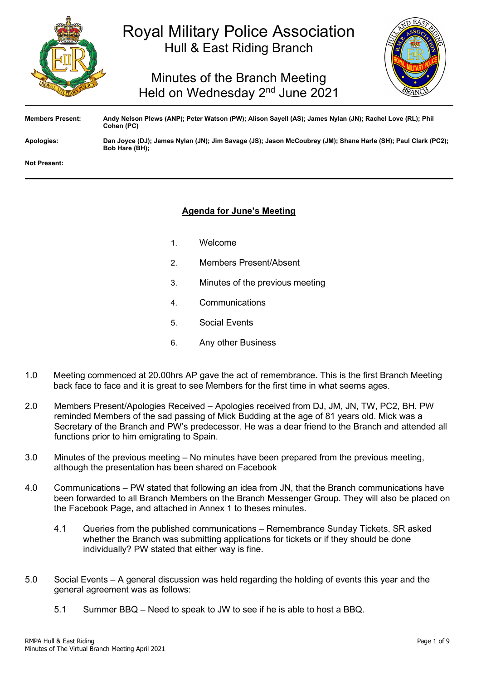

# Royal Military Police Association Hull & East Riding Branch

## Minutes of the Branch Meeting Held on Wednesday 2<sup>nd</sup> June 2021



| <b>Members Present:</b> | Andy Nelson Plews (ANP); Peter Watson (PW); Alison Sayell (AS); James Nylan (JN); Rachel Love (RL); Phil<br>Cohen (PC)                |
|-------------------------|---------------------------------------------------------------------------------------------------------------------------------------|
| Apologies:              | Dan Joyce (DJ); James Nylan (JN); Jim Savage (JS); Jason McCoubrey (JM); Shane Harle (SH); Paul Clark (PC2);<br><b>Bob Hare (BH):</b> |
| <b>Not Present:</b>     |                                                                                                                                       |

## **Agenda for June's Meeting**

- 1. Welcome
- 2. Members Present/Absent
- 3. Minutes of the previous meeting
- 4. Communications
- 5. Social Events
- 6. Any other Business
- 1.0 Meeting commenced at 20.00hrs AP gave the act of remembrance. This is the first Branch Meeting back face to face and it is great to see Members for the first time in what seems ages.
- 2.0 Members Present/Apologies Received Apologies received from DJ, JM, JN, TW, PC2, BH. PW reminded Members of the sad passing of Mick Budding at the age of 81 years old. Mick was a Secretary of the Branch and PW's predecessor. He was a dear friend to the Branch and attended all functions prior to him emigrating to Spain.
- 3.0 Minutes of the previous meeting No minutes have been prepared from the previous meeting, although the presentation has been shared on Facebook
- 4.0 Communications PW stated that following an idea from JN, that the Branch communications have been forwarded to all Branch Members on the Branch Messenger Group. They will also be placed on the Facebook Page, and attached in Annex 1 to theses minutes.
	- 4.1 Queries from the published communications Remembrance Sunday Tickets. SR asked whether the Branch was submitting applications for tickets or if they should be done individually? PW stated that either way is fine.
- 5.0 Social Events A general discussion was held regarding the holding of events this year and the general agreement was as follows:
	- 5.1 Summer BBQ Need to speak to JW to see if he is able to host a BBQ.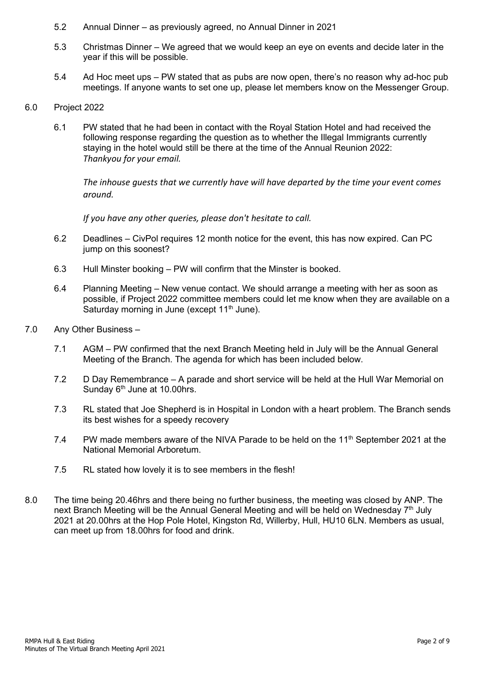- 5.2 Annual Dinner as previously agreed, no Annual Dinner in 2021
- 5.3 Christmas Dinner We agreed that we would keep an eye on events and decide later in the year if this will be possible.
- 5.4 Ad Hoc meet ups PW stated that as pubs are now open, there's no reason why ad-hoc pub meetings. If anyone wants to set one up, please let members know on the Messenger Group.

#### 6.0 Project 2022

6.1 PW stated that he had been in contact with the Royal Station Hotel and had received the following response regarding the question as to whether the Illegal Immigrants currently staying in the hotel would still be there at the time of the Annual Reunion 2022: *Thankyou for your email.*

*The inhouse guests that we currently have will have departed by the time your event comes around.*

*If you have any other queries, please don't hesitate to call.*

- 6.2 Deadlines CivPol requires 12 month notice for the event, this has now expired. Can PC jump on this soonest?
- 6.3 Hull Minster booking PW will confirm that the Minster is booked.
- 6.4 Planning Meeting New venue contact. We should arrange a meeting with her as soon as possible, if Project 2022 committee members could let me know when they are available on a Saturday morning in June (except  $11<sup>th</sup>$  June).
- 7.0 Any Other Business
	- 7.1 AGM PW confirmed that the next Branch Meeting held in July will be the Annual General Meeting of the Branch. The agenda for which has been included below.
	- 7.2 D Day Remembrance A parade and short service will be held at the Hull War Memorial on Sunday  $6<sup>th</sup>$  June at 10.00hrs.
	- 7.3 RL stated that Joe Shepherd is in Hospital in London with a heart problem. The Branch sends its best wishes for a speedy recovery
	- 7.4 PW made members aware of the NIVA Parade to be held on the 11<sup>th</sup> September 2021 at the National Memorial Arboretum.
	- 7.5 RL stated how lovely it is to see members in the flesh!
- 8.0 The time being 20.46hrs and there being no further business, the meeting was closed by ANP. The next Branch Meeting will be the Annual General Meeting and will be held on Wednesday 7<sup>th</sup> July 2021 at 20.00hrs at the Hop Pole Hotel, Kingston Rd, Willerby, Hull, HU10 6LN. Members as usual, can meet up from 18.00hrs for food and drink.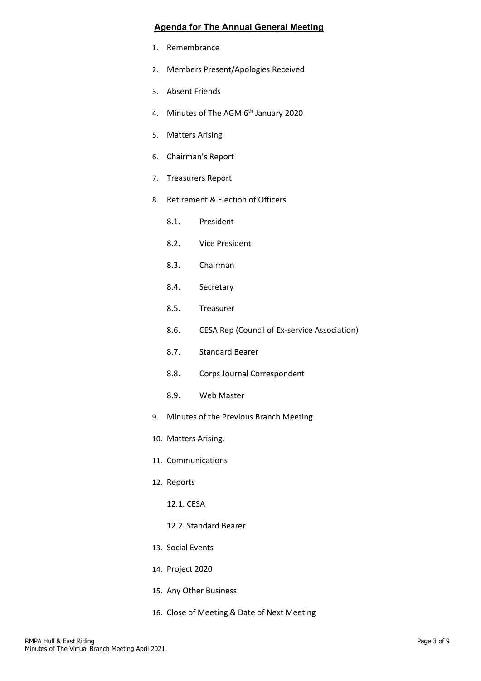#### **Agenda for The Annual General Meeting**

- 1. Remembrance
- 2. Members Present/Apologies Received
- 3. Absent Friends
- 4. Minutes of The AGM 6<sup>th</sup> January 2020
- 5. Matters Arising
- 6. Chairman's Report
- 7. Treasurers Report
- 8. Retirement & Election of Officers
	- 8.1. President
	- 8.2. Vice President
	- 8.3. Chairman
	- 8.4. Secretary
	- 8.5. Treasurer
	- 8.6. CESA Rep (Council of Ex-service Association)
	- 8.7. Standard Bearer
	- 8.8. Corps Journal Correspondent
	- 8.9. Web Master
- 9. Minutes of the Previous Branch Meeting
- 10. Matters Arising.
- 11. Communications
- 12. Reports
	- 12.1. CESA
	- 12.2. Standard Bearer
- 13. Social Events
- 14. Project 2020
- 15. Any Other Business
- 16. Close of Meeting & Date of Next Meeting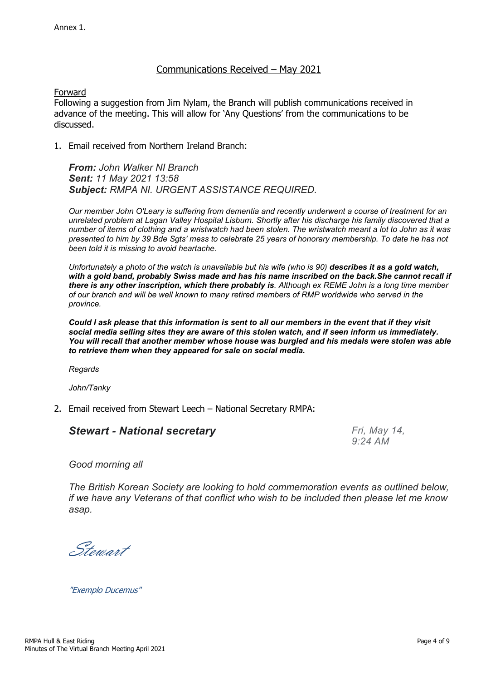### Communications Received – May 2021

Forward

Following a suggestion from Jim Nylam, the Branch will publish communications received in advance of the meeting. This will allow for 'Any Questions' from the communications to be discussed.

1. Email received from Northern Ireland Branch:

*From: John Walker NI Branch Sent: 11 May 2021 13:58 Subject: RMPA NI. URGENT ASSISTANCE REQUIRED.*

*Our member John O'Leary is suffering from dementia and recently underwent a course of treatment for an unrelated problem at Lagan Valley Hospital Lisburn. Shortly after his discharge his family discovered that a number of items of clothing and a wristwatch had been stolen. The wristwatch meant a lot to John as it was presented to him by 39 Bde Sgts' mess to celebrate 25 years of honorary membership. To date he has not been told it is missing to avoid heartache.*

*Unfortunately a photo of the watch is unavailable but his wife (who is 90) describes it as a gold watch, with a gold band, probably Swiss made and has his name inscribed on the back.She cannot recall if there is any other inscription, which there probably is. Although ex REME John is a long time member of our branch and will be well known to many retired members of RMP worldwide who served in the province.*

*Could I ask please that this information is sent to all our members in the event that if they visit social media selling sites they are aware of this stolen watch, and if seen inform us immediately. You will recall that another member whose house was burgled and his medals were stolen was able to retrieve them when they appeared for sale on social media.*

*Regards*

*John/Tanky*

2. Email received from Stewart Leech – National Secretary RMPA:

## **Stewart - National secretary Fig. 14, Fri, May 14,**

*9:24 AM*

*Good morning all*

*The British Korean Society are looking to hold commemoration events as outlined below, if we have any Veterans of that conflict who wish to be included then please let me know asap.*

Stewart

"Exemplo Ducemus"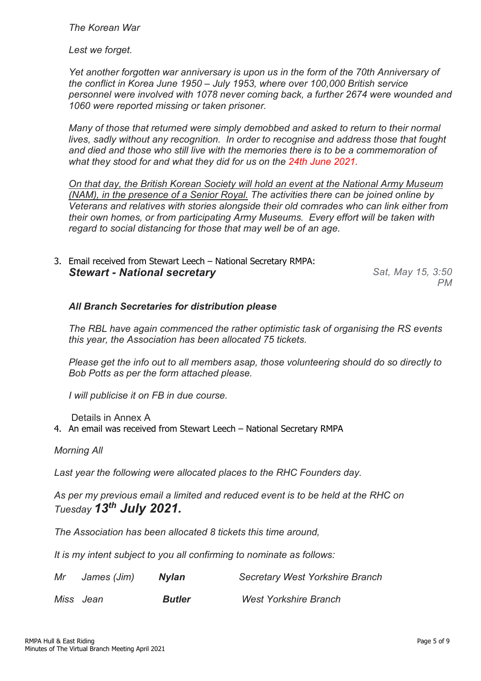*The Korean War*

*Lest we forget.*

*Yet another forgotten war anniversary is upon us in the form of the 70th Anniversary of the conflict in Korea June 1950 – July 1953, where over 100,000 British service personnel were involved with 1078 never coming back, a further 2674 were wounded and 1060 were reported missing or taken prisoner.*

*Many of those that returned were simply demobbed and asked to return to their normal lives, sadly without any recognition. In order to recognise and address those that fought and died and those who still live with the memories there is to be a commemoration of what they stood for and what they did for us on the 24th June 2021.*

*On that day, the British Korean Society will hold an event at the National Army Museum (NAM), in the presence of a Senior Royal. The activities there can be joined online by Veterans and relatives with stories alongside their old comrades who can link either from their own homes, or from participating Army Museums. Every effort will be taken with regard to social distancing for those that may well be of an age.*

3. Email received from Stewart Leech – National Secretary RMPA: **Stewart - National secretary Stewart - National secretary Sat, May 15, 3:50** 

*PM*

## *All Branch Secretaries for distribution please*

*The RBL have again commenced the rather optimistic task of organising the RS events this year, the Association has been allocated 75 tickets.*

*Please get the info out to all members asap, those volunteering should do so directly to Bob Potts as per the form attached please.*

*I will publicise it on FB in due course.*

Details in Annex A

4. An email was received from Stewart Leech – National Secretary RMPA

*Morning All*

*Last year the following were allocated places to the RHC Founders day.*

*As per my previous email a limited and reduced event is to be held at the RHC on Tuesday 13th July 2021.*

*The Association has been allocated 8 tickets this time around,*

*It is my intent subject to you all confirming to nominate as follows:*

| Mr | James (Jim) | <b>Nylan</b>  | <b>Secretary West Yorkshire Branch</b> |
|----|-------------|---------------|----------------------------------------|
|    | Miss Jean   | <b>Butler</b> | <b>West Yorkshire Branch</b>           |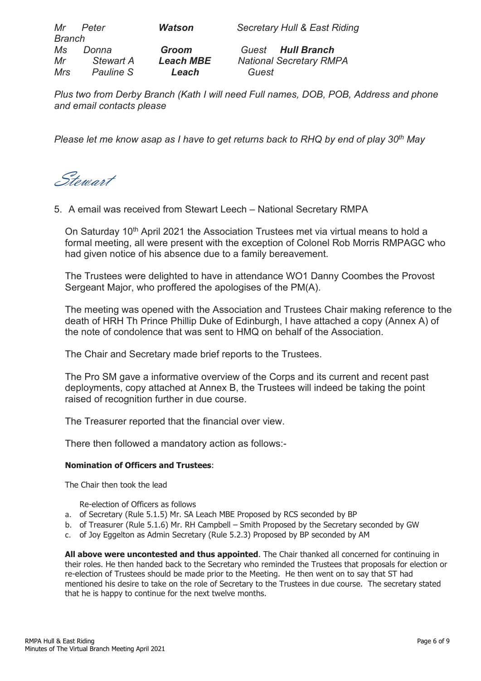| Mr.           | Peter     | <b>Watson</b>    | Secretary Hull & East Riding   |
|---------------|-----------|------------------|--------------------------------|
| <b>Branch</b> |           |                  |                                |
| Ms.           | Donna     | Groom            | <b>Guest Hull Branch</b>       |
| Mr            | Stewart A | <b>Leach MBE</b> | <b>National Secretary RMPA</b> |
| <b>Mrs</b>    | Pauline S | Leach            | Guest                          |

*Plus two from Derby Branch (Kath I will need Full names, DOB, POB, Address and phone and email contacts please*

*Please let me know asap as I have to get returns back to RHQ by end of play 30th May*

Stewart

5. A email was received from Stewart Leech – National Secretary RMPA

On Saturday 10<sup>th</sup> April 2021 the Association Trustees met via virtual means to hold a formal meeting, all were present with the exception of Colonel Rob Morris RMPAGC who had given notice of his absence due to a family bereavement.

The Trustees were delighted to have in attendance WO1 Danny Coombes the Provost Sergeant Major, who proffered the apologises of the PM(A).

The meeting was opened with the Association and Trustees Chair making reference to the death of HRH Th Prince Phillip Duke of Edinburgh, I have attached a copy (Annex A) of the note of condolence that was sent to HMQ on behalf of the Association.

The Chair and Secretary made brief reports to the Trustees.

The Pro SM gave a informative overview of the Corps and its current and recent past deployments, copy attached at Annex B, the Trustees will indeed be taking the point raised of recognition further in due course.

The Treasurer reported that the financial over view.

There then followed a mandatory action as follows:-

#### **Nomination of Officers and Trustees**:

The Chair then took the lead

Re-election of Officers as follows

- a. of Secretary (Rule 5.1.5) Mr. SA Leach MBE Proposed by RCS seconded by BP
- b. of Treasurer (Rule 5.1.6) Mr. RH Campbell Smith Proposed by the Secretary seconded by GW
- c. of Joy Eggelton as Admin Secretary (Rule 5.2.3) Proposed by BP seconded by AM

**All above were uncontested and thus appointed**. The Chair thanked all concerned for continuing in their roles. He then handed back to the Secretary who reminded the Trustees that proposals for election or re-election of Trustees should be made prior to the Meeting. He then went on to say that ST had mentioned his desire to take on the role of Secretary to the Trustees in due course. The secretary stated that he is happy to continue for the next twelve months.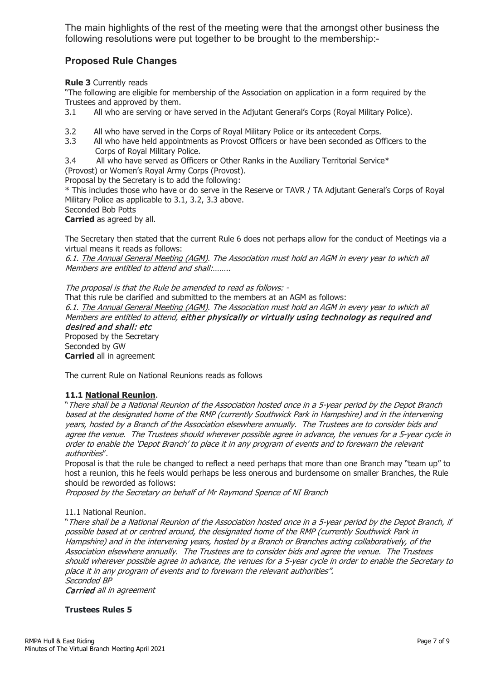The main highlights of the rest of the meeting were that the amongst other business the following resolutions were put together to be brought to the membership:-

## **Proposed Rule Changes**

**Rule 3** Currently reads

"The following are eligible for membership of the Association on application in a form required by the Trustees and approved by them.<br>3.1 All who are serving or ha

- All who are serving or have served in the Adjutant General's Corps (Royal Military Police).
- 3.2 All who have served in the Corps of Royal Military Police or its antecedent Corps.<br>3.3 All who have held appointments as Provost Officers or have been seconded as O
- All who have held appointments as Provost Officers or have been seconded as Officers to the Corps of Royal Military Police.<br>3.4 All who have served as Office.

All who have served as Officers or Other Ranks in the Auxiliary Territorial Service\*

(Provost) or Women's Royal Army Corps (Provost).

Proposal by the Secretary is to add the following:

\* This includes those who have or do serve in the Reserve or TAVR / TA Adjutant General's Corps of Royal Military Police as applicable to 3.1, 3.2, 3.3 above.

Seconded Bob Potts

**Carried** as agreed by all.

The Secretary then stated that the current Rule 6 does not perhaps allow for the conduct of Meetings via a virtual means it reads as follows:

6.1. The Annual General Meeting (AGM). The Association must hold an AGM in every year to which all Members are entitled to attend and shall:……..

The proposal is that the Rule be amended to read as follows: - That this rule be clarified and submitted to the members at an AGM as follows: 6.1. The Annual General Meeting (AGM). The Association must hold an AGM in every year to which all Members are entitled to attend, either physically or virtually using technology as required and desired and shall: etc Proposed by the Secretary Seconded by GW

**Carried** all in agreement

The current Rule on National Reunions reads as follows

#### **11.1 National Reunion**.

"There shall be a National Reunion of the Association hosted once in a 5-year period by the Depot Branch based at the designated home of the RMP (currently Southwick Park in Hampshire) and in the intervening years, hosted by a Branch of the Association elsewhere annually. The Trustees are to consider bids and agree the venue. The Trustees should wherever possible agree in advance, the venues for a 5-year cycle in order to enable the 'Depot Branch' to place it in any program of events and to forewarn the relevant authorities".

Proposal is that the rule be changed to reflect a need perhaps that more than one Branch may "team up" to host a reunion, this he feels would perhaps be less onerous and burdensome on smaller Branches, the Rule should be reworded as follows:

Proposed by the Secretary on behalf of Mr Raymond Spence of NI Branch

#### 11.1 National Reunion.

"There shall be a National Reunion of the Association hosted once in a 5-year period by the Depot Branch, if possible based at or centred around, the designated home of the RMP (currently Southwick Park in Hampshire) and in the intervening years, hosted by a Branch or Branches acting collaboratively, of the Association elsewhere annually. The Trustees are to consider bids and agree the venue. The Trustees should wherever possible agree in advance, the venues for a 5-year cycle in order to enable the Secretary to place it in any program of events and to forewarn the relevant authorities". Seconded BP

Carried all in agreement

**Trustees Rules 5**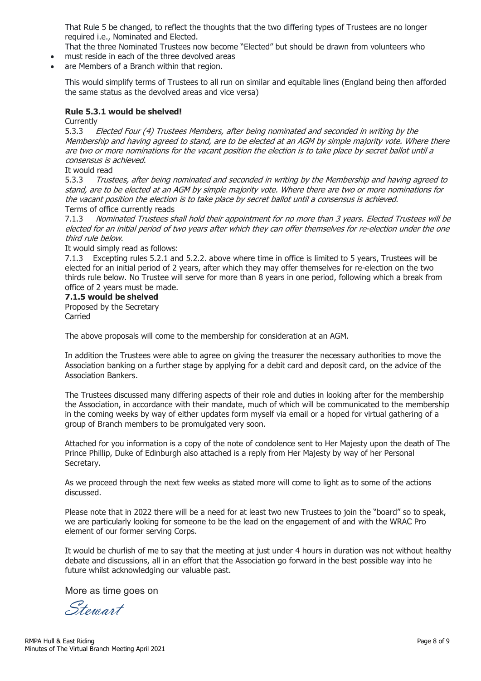That Rule 5 be changed, to reflect the thoughts that the two differing types of Trustees are no longer required i.e., Nominated and Elected.

That the three Nominated Trustees now become "Elected" but should be drawn from volunteers who

- must reside in each of the three devolved areas
- are Members of a Branch within that region.

This would simplify terms of Trustees to all run on similar and equitable lines (England being then afforded the same status as the devolved areas and vice versa)

#### **Rule 5.3.1 would be shelved!**

Currently<br>5.3.3

Elected Four (4) Trustees Members, after being nominated and seconded in writing by the Membership and having agreed to stand, are to be elected at an AGM by simple majority vote. Where there are two or more nominations for the vacant position the election is to take place by secret ballot until a consensus is achieved.

It would read<br>5.3.3 Trust

Trustees, after being nominated and seconded in writing by the Membership and having agreed to stand, are to be elected at an AGM by simple majority vote. Where there are two or more nominations for the vacant position the election is to take place by secret ballot until a consensus is achieved. Terms of office currently reads<br>7.1.3 Nominated Trustees sl

7.1.3 Nominated Trustees shall hold their appointment for no more than 3 years. Elected Trustees will be elected for an initial period of two years after which they can offer themselves for re-election under the one third rule below.

It would simply read as follows:

7.1.3 Excepting rules 5.2.1 and 5.2.2. above where time in office is limited to 5 years, Trustees will be elected for an initial period of 2 years, after which they may offer themselves for re-election on the two thirds rule below. No Trustee will serve for more than 8 years in one period, following which a break from office of 2 years must be made.

#### **7.1.5 would be shelved** Proposed by the Secretary

Carried

The above proposals will come to the membership for consideration at an AGM.

In addition the Trustees were able to agree on giving the treasurer the necessary authorities to move the Association banking on a further stage by applying for a debit card and deposit card, on the advice of the Association Bankers.

The Trustees discussed many differing aspects of their role and duties in looking after for the membership the Association, in accordance with their mandate, much of which will be communicated to the membership in the coming weeks by way of either updates form myself via email or a hoped for virtual gathering of a group of Branch members to be promulgated very soon.

Attached for you information is a copy of the note of condolence sent to Her Majesty upon the death of The Prince Phillip, Duke of Edinburgh also attached is a reply from Her Majesty by way of her Personal Secretary.

As we proceed through the next few weeks as stated more will come to light as to some of the actions discussed.

Please note that in 2022 there will be a need for at least two new Trustees to join the "board" so to speak, we are particularly looking for someone to be the lead on the engagement of and with the WRAC Pro element of our former serving Corps.

It would be churlish of me to say that the meeting at just under 4 hours in duration was not without healthy debate and discussions, all in an effort that the Association go forward in the best possible way into he future whilst acknowledging our valuable past.

More as time goes on

Stewart